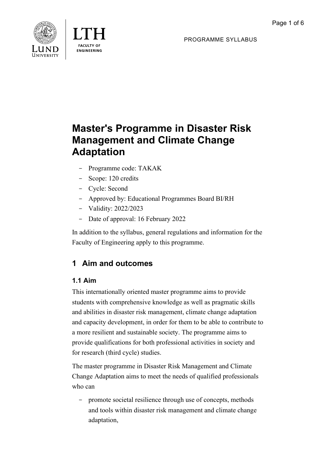



PROGRAMME SYLLABUS

# **Master's Programme in Disaster Risk Management and Climate Change Adaptation**

- Programme code: TAKAK
- Scope: 120 credits
- Cycle: Second
- Approved by: Educational Programmes Board BI/RH
- Validity: 2022/2023
- Date of approval: 16 February 2022

In addition to the syllabus, general regulations and information for the Faculty of Engineering apply to this programme.

## **1 Aim and outcomes**

### **1.1 Aim**

This internationally oriented master programme aims to provide students with comprehensive knowledge as well as pragmatic skills and abilities in disaster risk management, climate change adaptation and capacity development, in order for them to be able to contribute to a more resilient and sustainable society. The programme aims to provide qualifications for both professional activities in society and for research (third cycle) studies.

The master programme in Disaster Risk Management and Climate Change Adaptation aims to meet the needs of qualified professionals who can

- promote societal resilience through use of concepts, methods and tools within disaster risk management and climate change adaptation,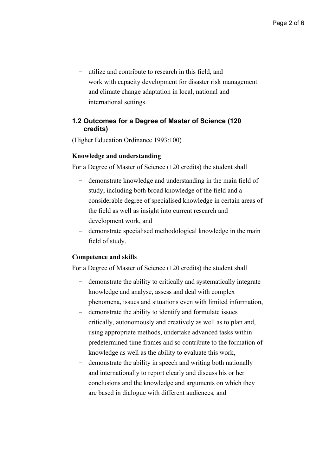- utilize and contribute to research in this field, and
- work with capacity development for disaster risk management and climate change adaptation in local, national and international settings.

#### **1.2 Outcomes for a Degree of Master of Science (120 credits)**

(Higher Education Ordinance 1993:100)

#### **Knowledge and understanding**

For a Degree of Master of Science (120 credits) the student shall

- demonstrate knowledge and understanding in the main field of study, including both broad knowledge of the field and a considerable degree of specialised knowledge in certain areas of the field as well as insight into current research and development work, and
- demonstrate specialised methodological knowledge in the main field of study.

#### **Competence and skills**

For a Degree of Master of Science (120 credits) the student shall

- demonstrate the ability to critically and systematically integrate knowledge and analyse, assess and deal with complex phenomena, issues and situations even with limited information,
- demonstrate the ability to identify and formulate issues critically, autonomously and creatively as well as to plan and, using appropriate methods, undertake advanced tasks within predetermined time frames and so contribute to the formation of knowledge as well as the ability to evaluate this work,
- demonstrate the ability in speech and writing both nationally and internationally to report clearly and discuss his or her conclusions and the knowledge and arguments on which they are based in dialogue with different audiences, and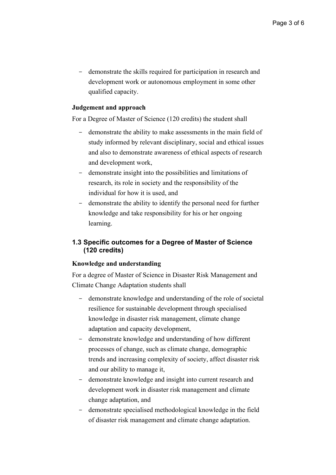- demonstrate the skills required for participation in research and development work or autonomous employment in some other qualified capacity.

#### **Judgement and approach**

For a Degree of Master of Science (120 credits) the student shall

- demonstrate the ability to make assessments in the main field of study informed by relevant disciplinary, social and ethical issues and also to demonstrate awareness of ethical aspects of research and development work,
- demonstrate insight into the possibilities and limitations of research, its role in society and the responsibility of the individual for how it is used, and
- demonstrate the ability to identify the personal need for further knowledge and take responsibility for his or her ongoing learning.

#### **1.3 Specific outcomes for a Degree of Master of Science (120 credits)**

#### **Knowledge and understanding**

For a degree of Master of Science in Disaster Risk Management and Climate Change Adaptation students shall

- demonstrate knowledge and understanding of the role of societal resilience for sustainable development through specialised knowledge in disaster risk management, climate change adaptation and capacity development,
- demonstrate knowledge and understanding of how different processes of change, such as climate change, demographic trends and increasing complexity of society, affect disaster risk and our ability to manage it,
- demonstrate knowledge and insight into current research and development work in disaster risk management and climate change adaptation, and
- demonstrate specialised methodological knowledge in the field of disaster risk management and climate change adaptation.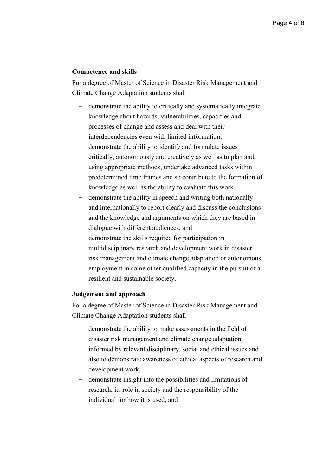#### **Competence and skills**

For a degree of Master of Science in Disaster Risk Management and Climate Change Adaptation students shall

- demonstrate the ability to critically and systematically integrate knowledge about hazards, vulnerabilities, capacities and processes of change and assess and deal with their interdependencies even with limited information,
- demonstrate the ability to identify and formulate issues critically, autonomously and creatively as well as to plan and, using appropriate methods, undertake advanced tasks within predetermined time frames and so contribute to the formation of knowledge as well as the ability to evaluate this work,
- demonstrate the ability in speech and writing both nationally and internationally to report clearly and discuss the conclusions and the knowledge and arguments on which they are based in dialogue with different audiences, and
- demonstrate the skills required for participation in multidisciplinary research and development work in disaster risk management and climate change adaptation or autonomous employment in some other qualified capacity in the pursuit of a resilient and sustainable society.

#### **Judgement and approach**

For a degree of Master of Science in Disaster Risk Management and Climate Change Adaptation students shall

- demonstrate the ability to make assessments in the field of disaster risk management and climate change adaptation informed by relevant disciplinary, social and ethical issues and also to demonstrate awareness of ethical aspects of research and development work,
- demonstrate insight into the possibilities and limitations of research, its role in society and the responsibility of the individual for how it is used, and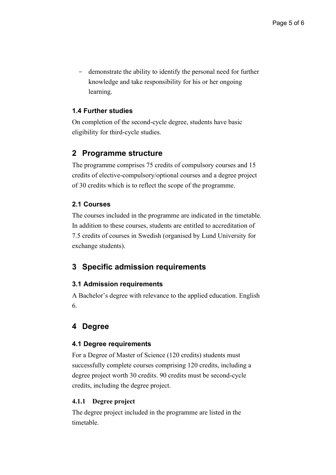- demonstrate the ability to identify the personal need for further knowledge and take responsibility for his or her ongoing learning.

### **1.4 Further studies**

On completion of the second-cycle degree, students have basic eligibility for third-cycle studies.

## **2 Programme structure**

The programme comprises 75 credits of compulsory courses and 15 credits of elective-compulsory/optional courses and a degree project of 30 credits which is to reflect the scope of the programme.

### **2.1 Courses**

The courses included in the programme are indicated in the timetable. In addition to these courses, students are entitled to accreditation of 7.5 credits of courses in Swedish (organised by Lund University for exchange students).

## **3 Specific admission requirements**

### **3.1 Admission requirements**

A Bachelor's degree with relevance to the applied education. English 6.

## **4 Degree**

#### **4.1 Degree requirements**

For a Degree of Master of Science (120 credits) students must successfully complete courses comprising 120 credits, including a degree project worth 30 credits. 90 credits must be second-cycle credits, including the degree project.

#### **4.1.1 Degree project**

The degree project included in the programme are listed in the timetable.